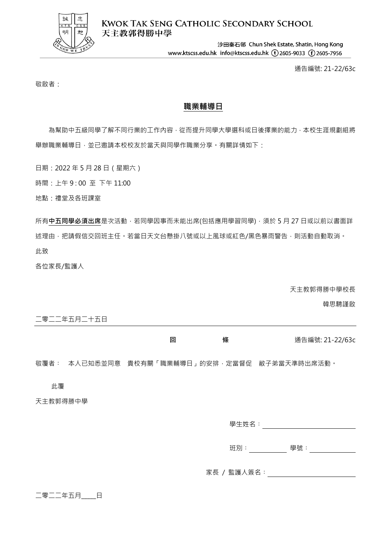

**KWOK TAK SENG CATHOLIC SECONDARY SCHOOL** 天主教郭得勝中學

> 沙田秦石邨 Chun Shek Estate, Shatin, Hong Kong www.ktscss.edu.hk info@ktscss.edu.hk (t)2605-9033 (f)2605-7956

> > 通告編號: 21-22/63c

敬啟者:

## **職業輔導日**

為幫助中五級同學了解不同行業的工作內容,從而提升同學大學選科或日後擇業的能力,本校生涯規劃組將 舉辦職業輔導日,並已邀請本校校友於當天與同學作職業分享。有關詳情如下:

日期:2022 年 5 月 28 日(星期六)

時間:上午 9 : 00 至 下午 11:00

地點:禮堂及各班課室

所有**中五同學必須出席**是次活動,若同學因事而未能出席(包括應用學習同學),須於 5 月 27 日或以前以書面詳 述理由,把請假信交回班主任。若當日天文台懸掛八號或以上風球或紅色/黑色暴雨警告,則活動自動取消。 此致

各位家長/監護人

天主教郭得勝中學校長

韓思騁謹啟

|                          | 五日 |  |
|--------------------------|----|--|
| $\overline{\phantom{0}}$ |    |  |

| 同 | 條 | 通告編號: 21-22/63c |
|---|---|-----------------|
|   |   |                 |

敬覆者: 本人已知悉並同意 貴校有關「職業輔導日」的安排,定當督促 敝子弟當天準時出席活動。

此覆

天主教郭得勝中學

| 學生姓名: |  |  |  |
|-------|--|--|--|
|       |  |  |  |

班別: アンチンの 學號: アンチング かんきょう

家長 / 監護人簽名:

## 二零二二年五月\_\_\_\_\_日